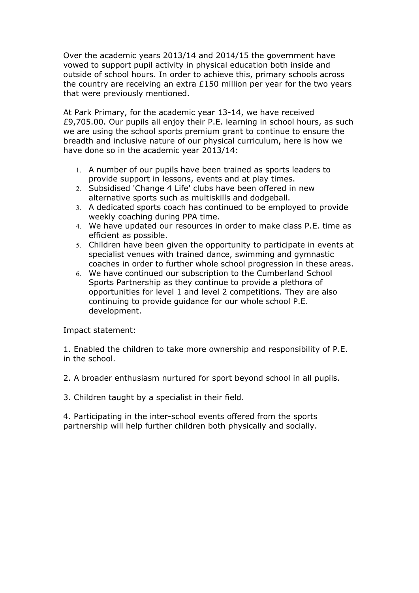Over the academic years 2013/14 and 2014/15 the government have vowed to support pupil activity in physical education both inside and outside of school hours. In order to achieve this, primary schools across the country are receiving an extra  $E150$  million per year for the two years that were previously mentioned.

At Park Primary, for the academic year 13-14, we have received £9,705.00. Our pupils all enjoy their P.E. learning in school hours, as such we are using the school sports premium grant to continue to ensure the breadth and inclusive nature of our physical curriculum, here is how we have done so in the academic year 2013/14:

- 1. A number of our pupils have been trained as sports leaders to provide support in lessons, events and at play times.
- 2. Subsidised 'Change 4 Life' clubs have been offered in new alternative sports such as multiskills and dodgeball.
- 3. A dedicated sports coach has continued to be employed to provide weekly coaching during PPA time.
- 4. We have updated our resources in order to make class P.E. time as efficient as possible.
- 5. Children have been given the opportunity to participate in events at specialist venues with trained dance, swimming and gymnastic coaches in order to further whole school progression in these areas.
- 6. We have continued our subscription to the Cumberland School Sports Partnership as they continue to provide a plethora of opportunities for level 1 and level 2 competitions. They are also continuing to provide guidance for our whole school P.E. development.

Impact statement:

1. Enabled the children to take more ownership and responsibility of P.E. in the school.

2. A broader enthusiasm nurtured for sport beyond school in all pupils.

3. Children taught by a specialist in their field.

4. Participating in the inter-school events offered from the sports partnership will help further children both physically and socially.